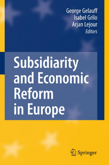**George Gelauff Isabel Grilo** Arjan Lejour **Editors** 

# Subsidiarity and Economic **Reform** in Europe

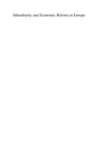Subsidiarity and Economic Reform in Europe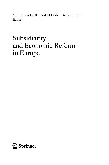George Gelauff · Isabel Grilo · Arjan Lejour Editors

# Subsidiarity and Economic Reform in Europe

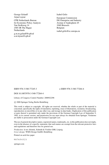George Gelauff Arjan Lejour

CPB Netherlands Bureau for Economic Policy Analysis Van Stolkweg 14 2585 JR The Hague **Netherlands** 

g.m.m.gelauff@cpb.nl a.m.lejour@cpb.nl

Isabel Grilo

European Commission DG Enterprise and Industry Avenue d'Auderghem 45 1040 Brussels Belgium isabel.grilo@ec.europa.eu

ISBN 978-3-540-77245-3 e-ISBN 978-3-540-77264-4

DOI 10.1007/978-3-540-77264-4

Library of Congress Control Number: 2008922298

c 2008 Springer-Verlag Berlin Heidelberg

This work is subject to copyright. All rights are reserved, whether the whole or part of the material is concerned, specifically the rights of translation, reprinting, reuse of illustrations, recitation, broadcasting, reproduction on microfilm or in any other way, and storage in data banks. Duplication of this publication or parts thereof is permitted only under the provisions of the German Copyright Law of September 9, 1965, in its current version, and permission for use must always be obtained from Springer. Violations are liable to prosecution under the German Copyright Law.

The use of general descriptive names, registered names, trademarks, etc. in this publication does not imply, even in the absence of a specific statement, that such names are exempt from the relevant protective laws and regulations and therefore free for general use.

*Production:* le-tex Jelonek, Schmidt & Vöckler GbR, Leipzig *Cover design:* WMX Design GmbH, Heidelberg

Printed on acid-free paper

987654321

springer.com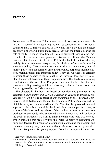# **Preface**

Sometimes the European Union is seen as a big success, sometimes it is not. It is successful in integrating the market economies of 27 European countries and 500 million citizens in fifty years time. Now it is the biggest economy in the world, but in many areas other than the Internal Market the role of the EU is much more limited. Besides historical reasons, other motives for the division of competences between the EU and the Member States explain the current role of the EU. In this book the authors discuss, mainly from an economic perspective, this division of responsibilities for economic policy. They concentrate on education and innovation, internal market policy and the common agricultural policy, corporate income taxation, regional policy and transport policy. They ask whether it is efficient to assign these policies to the national or the European level and try to explain the current division of these responsibilities. This leads to interesting conclusions on the role of the European Union and the Member States in economic policy making which are also very relevant for economic reforms triggered by the Lisbon strategy.

The chapters in this book are based on contributions presented at the conference *Subsidiarity and Economic Reform in Europe* in Brussels, November 8-9, 2006.<sup>1</sup> The conference was organized by the European Commission, CPB Netherlands Bureau for Economic Policy Analysis and the Dutch Ministry of Economic Affairs.2 The Ministry also provided financial support for the publication of this book, which is much appreciated. We, as editors of the book and organizers of the conference, want to express our gratitude to everybody who supported the conference and publication of the book. In particular, we want to thank Stephan Raes, who was very active in initiating this project within the Dutch Ministry of Economic Affairs, and Jacques Pelkmans for his support in composing the program and for recommending very qualified authors. Moreover, we are grateful to Gert-Jan Koopmans for giving support from the European Commission

 $\overline{a}$ 

<sup>1</sup> See: www.cpb.nl/goto/subsidiarity/.

<sup>&</sup>lt;sup>2</sup> Note that all contributions in this book are written on a personal title and do not necessarily reflect the views of the European Commission, CPB or the Dutch Ministry of Economic Affairs.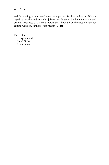and for hosting a small workshop, as appetizer for the conference. We enjoyed our work as editors. Our job was made easier by the enthusiastic and prompt responses of the contributors and above all by the accurate lay-out editing work of Jeannette Verbruggen (CPB).

The editors, George Gelauff Isabel Grilo Arjan Lejour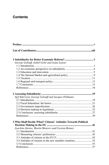# **Contents**

| George Gelauff, Isabel Grilo and Arjan Lejour                  |  |
|----------------------------------------------------------------|--|
|                                                                |  |
|                                                                |  |
|                                                                |  |
|                                                                |  |
|                                                                |  |
|                                                                |  |
|                                                                |  |
|                                                                |  |
|                                                                |  |
| Sjef Ederveen, George Gelauff and Jacques Pelkmans             |  |
|                                                                |  |
|                                                                |  |
|                                                                |  |
|                                                                |  |
|                                                                |  |
|                                                                |  |
| 3 Who Shall Decide What? Citizens' Attitudes Towards Political |  |
|                                                                |  |
| Joachim Ahrens, Martin Meurers and Carsten Renner              |  |
|                                                                |  |
|                                                                |  |
|                                                                |  |
| 3.4 Attitudes of citizens in the new member countries52        |  |
|                                                                |  |
|                                                                |  |
|                                                                |  |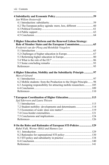| Jan Willem Oosterwijk                                               |     |
|---------------------------------------------------------------------|-----|
|                                                                     |     |
|                                                                     |     |
|                                                                     |     |
|                                                                     |     |
|                                                                     |     |
| 5 Higher Education Reform and the Renewed Lisbon Strategy:          |     |
|                                                                     |     |
| Frederick van der Ploeg and Reinhilde Veugelers                     |     |
|                                                                     |     |
|                                                                     |     |
|                                                                     |     |
|                                                                     |     |
|                                                                     |     |
|                                                                     |     |
| 6 Higher Education, Mobility and the Subsidiarity Principle  97     |     |
| Marcel Gérard                                                       |     |
|                                                                     |     |
| 6.2 Mobile students: from the Production to the Origin Principle 98 |     |
| 6.3 Assigning responsibility for attracting mobile researchers 105  |     |
|                                                                     |     |
|                                                                     |     |
| 7 European Coordination of Higher Education 113                     |     |
| Sjef Ederveen and Laura Thissen                                     |     |
|                                                                     |     |
| 7.2 Student mobility: developments and determinants 114             |     |
|                                                                     |     |
|                                                                     |     |
|                                                                     |     |
|                                                                     |     |
| 8 On the Roles and Rationales of European STI-Policies              | 129 |
| Rahel Falk, Werner Hölzl and Hannes Leo                             |     |
|                                                                     |     |
|                                                                     |     |
|                                                                     |     |
|                                                                     |     |
|                                                                     |     |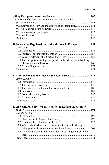| Albert van der Horst, Arjan Lejour and Bas Straathof                 |  |
|----------------------------------------------------------------------|--|
|                                                                      |  |
| 9.2 Innovation policy and the principles of subsidiarity 144         |  |
|                                                                      |  |
|                                                                      |  |
|                                                                      |  |
|                                                                      |  |
| 157 10 Integrating Regulated Networks Markets in Europe  157         |  |
| Jordi Gual                                                           |  |
|                                                                      |  |
|                                                                      |  |
| 10.3 What is different about network services? 161                   |  |
| 10.4 The integration strategy in specific network services: banking, |  |
|                                                                      |  |
|                                                                      |  |
|                                                                      |  |
| 177 Subsidiarity and the Internal Services Market 177                |  |
| Arjan Lejour                                                         |  |
|                                                                      |  |
|                                                                      |  |
|                                                                      |  |
|                                                                      |  |
|                                                                      |  |
|                                                                      |  |
|                                                                      |  |
| 12 Agriculture Policy: What Roles for the EU and the Member          |  |
|                                                                      |  |
| <b>Harald Grethe</b>                                                 |  |
|                                                                      |  |
|                                                                      |  |
|                                                                      |  |
| 12.4 Why is the CAP not in accordance with the subsidiarity          |  |
| principle? Political economy considerations and dynamics  204        |  |
| 12.5 Conclusions on agricultural policy - How to get closer to the   |  |
|                                                                      |  |
|                                                                      |  |
|                                                                      |  |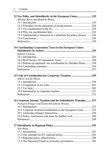| 13 Tax Policy and Subsidiarity in the European Union 219             |  |
|----------------------------------------------------------------------|--|
| Michael Keen and Ruud de Mooij                                       |  |
|                                                                      |  |
|                                                                      |  |
|                                                                      |  |
|                                                                      |  |
| 13.5 Administrative measures as a substitute for policy choices  236 |  |
|                                                                      |  |
|                                                                      |  |
| 14 Coordinating Corporation Taxes in the European Union:             |  |
|                                                                      |  |
| Sijbren Cnossen                                                      |  |
|                                                                      |  |
|                                                                      |  |
| 14.3 Bottom-up approach: tax coordination by Member States  250      |  |
|                                                                      |  |
|                                                                      |  |
|                                                                      |  |
| 15 Code of Coordination for Corporate Taxation  259                  |  |
| Albert van der Horst                                                 |  |
|                                                                      |  |
|                                                                      |  |
|                                                                      |  |
|                                                                      |  |
|                                                                      |  |
|                                                                      |  |
| 16 Corporate Income Taxation and the Subsidiarity Principle 273      |  |
| François Pouget and Eloïse Stéclebout-Orseau                         |  |
|                                                                      |  |
| 16.2 Corporate taxation coordination in the European Union  276      |  |
|                                                                      |  |
|                                                                      |  |
|                                                                      |  |
|                                                                      |  |
| Iain Begg                                                            |  |
|                                                                      |  |
|                                                                      |  |
|                                                                      |  |
| 17.4 The Structural Funds in economic governance301                  |  |
|                                                                      |  |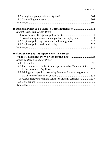| 18 Regional Policy as a Means to Curb Immigration311             |     |
|------------------------------------------------------------------|-----|
| Robert Fenge and Volker Meier                                    |     |
|                                                                  |     |
| 18.2 Potential migration and its impact on unemployment 314      |     |
| 18.3 Regional policy against undesired immigration 316           |     |
|                                                                  |     |
|                                                                  |     |
|                                                                  |     |
| <b>19 Subsidiarity and Transport Policy in Europe:</b>           |     |
| What EU-Subsidies Do We Need for the TEN? 325                    |     |
| Bruno de Borger and Stef Proost                                  |     |
|                                                                  | 325 |
| 19.2 The economics of infrastructure provision by Member States  |     |
|                                                                  | 326 |
| 19.3 Pricing and capacity choices by Member States or regions in |     |
|                                                                  | 332 |
| 19.4 What subsidy rules make sense for TEN investments?337       |     |
|                                                                  |     |
|                                                                  |     |
|                                                                  |     |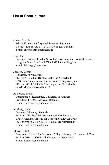# **List of Contributors**

#### Ahrens, Joachim

Private University of Applied Sciences Göttingen Weender Landstraße 3-7, 37073 Göttingen, Germany e-mail: ahrens@pfh-goettingen.de

#### Begg, Iain

European Institute, London School of Economics and Political Science Houghton Street London WC2A 2AE, United Kingdom e-mail: iain.begg@lse.ac.uk

#### Cnossen, Sijbren

University of Maastricht PO Box 616, 6200 MD Maastricht, the Netherlands CPB Netherlands Bureau for Economic Policy Analysis PO Box 80510, 2508 GM The Hague, the Netherlands e-mail: sijbren.cnossen@cpb.nl

De Borger, Bruno

Department of Economics, University of Antwerp Prinsstraat 13, 2000 Antwerp, Belgium e-mail: bruno.deborger@ua.ac.be

#### De Mooij, Ruud

Erasmus University, Rotterdam PO Box 1738, 3000 DR Rotterdam, the Netherlands CPB Netherlands Bureau for Economic Policy Analysis PO Box 80510, 2508 GM The Hague, the Netherlands e-mail: ruud.de.mooij@cpb.nl

Ederveen, Sjef

Directorate General for Economic Policy, Ministry of Economic Affairs PO Box 20101, 2500 EC The Hague, the Netherlands e-mail: S.Ederveen@minez.nl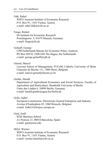#### Falk, Rahel

WIFO Austrian Institute of Economic Research P.O. Box 91, 1103 Vienna, Austria e-mail: rahel.falk@wifo.ac.at

#### Fenge, Robert

Ifo Institute for Economic Research Poschingerstr. 5, 81679 Munich, Germany e-mail: fenge@ifo.de

#### Gelauff, George

CPB Netherlands Bureau for Economic Policy Analysis PO Box 80510, 2508 GM The Hague, the Netherlands e-mail: george.gelauff@cpb.nl

#### Gérard, Marcel

Louvain School of Management, FUCaM, Catholic University of Mons Chaussée de Binche 151, 7000 Mons, Belgium e-mail: marcel.gerard@fucam.ac.be

#### Grethe, Harald

Department of Agricultural Economics and Social Sciences, Faculty of Agriculture and Horticulture, Humboldt University of Berlin Unter den Linden 6, 10099 Berlin, Germany e-mail: harald.grethe@agrar.hu-berlin.de

#### Grilo, Isabel

European Commission, Directorate General Enterprise and Industry Avenue d'Auderghem 45, 1040 Brussels, Belgium e-mail: Isabel.Grilo@ec.europa.eu

#### Gual, Jordi

IESE Business School Av Pearson 21, 08034 Barcelona, Spain e-mail: gual@iese.edu

#### Hölzl, Werner

WIFO Austrian Institute of Economic Research P.O. Box 91, 1103 Vienna, Austria e-mail: werner.hoelzl@wifo.ac.at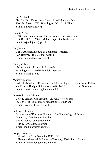#### Keen, Michael

Fiscal Affairs Department International Monetary Fund 700 19th Street, N.W., Washington DC 20431 USA e-mail: mkeen@imf.org

#### Lejour, Arjan

CPB Netherlands Bureau for Economic Policy Analysis P.O. Box 80510, 2508 GM The Hague, the Netherlands e-mail: arjan.lejour@cpb.nl.

#### Leo, Hannes

WIFO Austrian Institute of Economic Research P.O. Box 91, 1103 Vienna, Austria e-mail: hannes.leo@wifo.ac.at

#### Meier, Volker

Ifo Institute for Economic Research Poschingerstr. 5, 81679 Munich, Germany e-mail: meier@ifo.de

#### Meurers, Martin

Federal Ministry of Economics and Technology, Division Fiscal Policy and Federal Budget, Scharnhorststraße 34-37, 10115 Berlin, Germany e-mail: martin.meurers@bmwa.bund.de

#### Oosterwijk, Jan Willem

College van Bestuur, Erasmus University Rotterdam PO Box 1738, 3000 DR Rotterdam, the Netherlands e-mail: oosterwijk@cvb.eur.nl

#### Pelkmans, Jacques

Department of European Economic Studies, College of Europe Dijver 11, 8000 Brugge, Belgium Vlerick School of Management Reep 1, 9000 Gent, Belgium e-mail: jpelkmans@coleurop.be

Pouget, François

University of Paris Dauphine EURIsCO 1 Place du Maréchal de Lattre de Tassigny, 75016 Paris, France e-mail: francois.pouget@dauphine.fr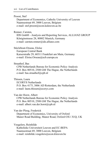#### Proost, Stef

Department of Economics, Catholic University of Leuven Naamsestraat 69, 3000 Leuven, Belgium e-mail: stef.proost@econ.kuleuven.ac.be

#### Renner, Carsten,

IDS GmbH - Analysis and Reporting Services, ALLIANZ GROUP Königinstrasse 28, 80802 Munich, Germany e-mail: carsten.renner@ids.allianz.com

Stéclebout-Orseau, Eloïse

European Central Bank Kaiserstraße 29, 60311 Frankfurt am Main, Germany e-mail: Eloise.Orseau@ecb.europa.eu

#### Straathof, Bas

CPB Netherlands Bureau for Economic Policy Analysis P.O. Box 80510, 2508 GM The Hague, the Netherlands e-mail: bas.straathof@cpb.nl

Thissen, Laura

ECORYS Netherlands P.O. Box 4175, 3006 AD Rotterdam, the Netherlands

e-mail: laura.thissen@ecorys.com

#### Van der Horst, Albert

CPB Netherlands Bureau for Economic Policy Analysis P.O. Box 80510, 2508 GM The Hague, the Netherlands e-mail: albert.van.der.horst@cpb.nl

Van der Ploeg, Frederick

Department of Economics, University of Oxford Manor Road Building, Manor Road, Oxford OX1 3UQ, UK

Veugelers, Reinhilde

Katholieke Universiteit Leuven and EC-BEPA Naamsestraat 69, 3000 Leuven, Belgium e-mail: reinhilde.veugelers@econ.kleuven.be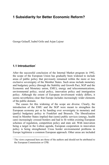# **1 Subsidiarity for Better Economic Reform?**

George Gelauff, Isabel Grilo and Arjan Lejour

# **1.1 Introduction**

-

After the successful conclusion of the Internal Market program in 1992, the scope of the European Union has gradually been widened to include areas of public policy that previously remained within the more or less exclusive sovereignty of the Member States. Such areas include monetary and budgetary policy (through the Stability and Growth Pact, SGP and the Economic and Monetary union, EMU), energy and telecommunications, environmental policy, social policy, innovation policy and immigration policy. Although the extent of European involvement widely differs, it seems nevertheless clear that Europe includes increasingly wider elements of the public domain.

The causes for this widening of the scope are diverse. Clearly, the introduction of the EMU and the SGP were meant to strengthen the European economy per se by handing over sovereignty in monetary and (partly) budgetary policy to Frankfurt and Brussels. The liberalization trend in Member States implied that (semi) public services (energy, health care) increasingly crossed borders and had to fit within existing European schemes of regulation, competition policy and state aid. With innovation being a target in the Lisbon agenda, European cooperation in innovation policy is being strengthened. Cross border environmental problems in Europe legitimize a common European approach. Other areas are included

<sup>&</sup>lt;sup>1</sup> The views expressed here are those of the authors and should not be attributed to the European Commission or CPB.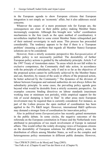in the European agenda to show European citizens that European integration is not simply an 'economic' affair, but it also addresses social concerns.

Whatever the causes of a more prominent role for Europe are, the consequences are clear: in their public policy making Member States increasingly cooperate. Although this brought new 'softer' coordination mechanisms to the fore (such as the open method of coordination), it nevertheless implied that to some extent Member States relinquished part of their national sovereignty in such areas. This process has proceeded considerably. The tendency appears to be that if there is a 'European problem' (meaning a problem that regards all Member States) European solutions are to be considered.

However, from a strictly economic perspective this *Europeanization* of public policy is not necessarily justified. The desirability of further European policy actions is guided by the subsidiarity principle. Article 5 of the 1997 Treaty of Amsterdam states: "In areas which do not fall within its exclusive competence, the Community shall take action, in accordance with the principle of subsidiarity, only if and in so far as the objectives of the proposed action cannot be sufficiently achieved by the Member States and can, therefore, by reason of the scale or effects of the proposed action, be better achieved by the Community." The dynamics of the division of labour between European and national authorities do not always follow the subsidiarity principle. In some cases, the prevailing policy agenda goes beyond what would be desirable from a strictly economic perspective. An examples concerns binding directives on labour standards (maximum working time or minimum rest periods), while empirical support for the risk of social dumping is hard to find.<sup>2</sup> In other areas more European involvement may be required than is currently considered. For instance, as part of the Lisbon process the open method of coordination has been applied to the 3% R&D target. However, international R&D spillovers may demand a stronger form of coordination for innovation policy.3

Also in political terms *Europeanization* has recently gained momentum in the public debate. In some circles, the negative outcomes of the referenda on the European constitution in France and the Netherlands were attributed to perceptions of too much involvement of Europe in national affairs. This would reflect the widely diverging views of European citizens on the desirability of European solutions for different policy areas, the distribution of effects among Member States, as well as the complex and heterogeneous policy momentum in different public domains. However,

 $\overline{a}$ 

<sup>2</sup> See CPB/SCP (2003) or de Mooij and Tang (2003). 3 See Falk et al. (Chapter 8) and Van der Horst et al*.* (Chapter 9).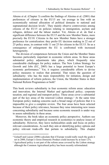Ahrens et al. (Chapter 3) confirm the findings of Alesina et al. (2001) that preferences of citizens in the EU15 are 'on average in line with an economically rational allocation of political domains to national and supranational decision levels'. They mainly observe controversies among citizens of the EU15 on policies relating to immigration, asylum and refugees, defence and the labour market. Yet, Ahrens et al. do find a significant difference between the EU15 and the new Member States, more precisely the EU10. Citizens in the new Member States have a stronger preference for centralization: they prefer EU decision making in 22 out of 25 policy areas, in contrast with 11 out 25 for citizens in the EU15. So as a consequence of enlargement the EU is confronted with increased heterogeneity.

The division of competences between the Union and the Member States becomes particularly important in economic reform areas. In these areas substantial policy adjustments take place, which frequently raise considerable challenges for policy makers. The New Lisbon Strategy for Growth and Jobs (EC, 2005) has a large potential to boost Europe's economic performance.<sup>4</sup> Yet, it requires considerable efforts to devise policy measures to realize that potential. That raises the question of subsidiarity: who has the main responsibility for initiation, design and implementation of reform policies, the Union, the Member States in their National Reform Programmes or both?

This book reviews subsidiarity in four economic reform areas: education and innovation; the Internal Market and agricultural policy; corporate taxation; and regional and transport policy. These areas cover a substantial part of the key areas of the renewed Lisbon strategy.<sup>5</sup> At the same time European policy making concerns such a broad range of policies that it is impossible to give a complete review. The four areas have been selected because of their policy relevance, because they raise interesting new issues concerning subsidiarity and because some economic research is under way to assess subsidiarity in these areas.

Moreover, the book takes an economic policy perspective. Authors use economic theory and empirical research in economics to analyse issues of subsidiarity. However, they leave technicalities aside and focus on policy relevant considerations. As such they aim at identifying policy options and policy relevant trade-offs that pertain to subsidiarity. This chapter

 $\overline{a}$ 

<sup>4</sup> Gelauff and Lejour (2006) calculate that if Europe would really reach the goals it set in 2000, Europe's Gross Domestic Product could increase by at least 12%.<br><sup>5</sup> Agricultural policy is not part of the reform areas covered by the Lisbon strategy

although the Common Agricultural policy has been recently reformulated.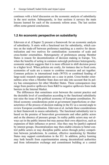continues with a brief discussion on the economic analysis of subsidiarity in the next section. Subsequently, in four sections it surveys the main lessons learned for each of the economic reform areas. The last section offers some general conclusions.

# **1.2 An economic perspective on subsidiarity**

Ederveen et al. (Chapter 2) present a framework for an economic analysis of subsidiarity. It starts with a functional test for subsidiarity, which centres on the trade-off between preference matching as a motive for decentralization and two motives for centralization: economies of scale and cross-border externalities. Heterogeneity of preferences among Member States is reason for decentralization of decision making in Europe. Yet, when the benefits of acting in common outweigh preference heterogeneity, economic analysis suggests that it is more efficient to shift decision power to a higher level. When policies are costly, for instance due to fixed costs, economies of scale are a reason to combine resources and act together. Common policies in international trade (WTO) or combined funding of large-scale research organizations are a case in point. Cross-border externalities arise when a Member State does not take into account that its policy has consequences for other Member States. These consequences may range from positive spillovers from R&D to negative spillovers from trade barriers in the Internal Market.

The differences that sometimes exist between the current practice and the desirable level of coordination according to the functional subsidiarity test raise the issue of the political economy of European coordination. Political economy considerations point at government imperfections or characteristics of the process of decision making in the EU as a second angle to review European coordination. Ederveen et al. include these considerations in their framework to assess subsidiarity. The functional subsidiarity test is based on the premise of benevolent governments and other public actors and on the absence of pressure groups. In reality public actors may not always act in the public interest but may pursue their own objectives, such as expansion of their influence or power. Also they may be (partly) captured by interest groups. Decentralization may then enable citizens to better control public actors or may discipline public actors through policy competition between jurisdictions. In contrast, effective monitoring by Member States may support centralization in the EU. In addition, policy learning may both benefit from experimentation among decentralized authorities and from information exchange and commitment building at a central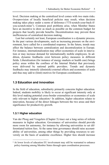level. Decision making at the centralized level comes with two main risks. Overprovision of locally beneficial policies may result, when decision making takes place under a norm of deference ("I'll-scratch-your-back-ifyou-scratch-mine"). Common pool problems arise, when Member States have an incentive to draw as much as possible on the common budget for projects that locally provide benefits. Decentralization may prevent these inefficiencies of centralized decision making.

Last but certainly not least, European coordination is a dynamic process. In the past various developments, such as increasing pressure on the environment, have called for a coordinated response. In the future, trends may affect the balance between centralization and decentralization in Europe. For instance, internationalization may affect economies of scale in innovation or may increase demand for internationally mobile employees. In addition, dynamic feedbacks exist between policy measures in different fields. Liberalization (for instance of energy markets or health care) brings policy areas within the confines of the Internal Market that previously were delivered by national public providers. Trends and dynamic feedbacks may intensify (diminish) external effects and economies of scale and thus may add to (limit) motives for European coordination.

# **1.3 Education and innovation**

In the field of education, subsidiarity primarily concerns higher education. Indeed, students mobility is likely to occur at significant intensity only at this level making potential cross-border externalities or economies of scale only relevant to higher education.6 In addition, higher education relates to innovation, because of the direct linkages between the two areas and their significance for productivity growth.

## **1.3.1 Higher education**

 $\overline{\phantom{a}}$ 

Van der Ploeg and Veugelers (Chapter 5) trace out a long series of reform measures in higher education. Governance of universities should provide more room for autonomy, for instance by allowing universities to set differentiated tuition fees. At the same time governance should raise accountability of universities, among other things by providing resources to university on the basis of academic excellence. Higher fees should increase

<sup>6</sup> At lower levels of education EU involvement may still be warranted to enhance policy-learning among Member States through open coordination processes.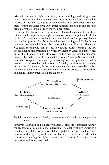private investment in higher education, in line with high and rising private rates of return, with income contingent loans providing insurance against the risk of income loss due to unemployment after graduation. As such, these reform measures primarily affect national institutions and are thus principally the responsibility of the Member States.

Competition between universities may enhance the quality of education. International competition in higher education points at a potential role for the EU. The main reason is that economies of scale and scope may characterize a European market for higher education (see Figure 1.1). To further integrate the Internal Market for higher education, Van der Ploeg and Veugelers recommend that besides facilitating policy learning, the EU should finance modernization activities by Member States and universities out of the Structural Funds. Moreover, the EU may increase the transparency of the higher education market by urging Member States to implement the Bologna reforms and by promoting cross-recognition of qualifications and a standardized system of quality indicators to evaluate universities. In that way, further transparency may stimulate student mobility, which would create a positive feedback on the process of competition and quality improvement as Figure 1.1 shows.



**Fig.1.1.** Interdependencies affecting the assessment of subsidiarity in higher education

However, Ederveen and Thissen (Chapter 7) find little empirical support for economies of scale in higher education. The quality of universities in a country is unrelated to the size of the population in that country. Since there is hardly any empirical evidence that larger countries provide better education, extending the higher education market to the EU as a whole is not guaranteed to increase quality.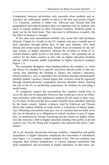Competition between universities only succeeds when students and researchers are sufficiently mobile to move to the best universities (Figure 1.1). Currently, mobility is rather low. Ederveen and Thissen find that geographical and cultural distance plays an important role for students who enrol as regular students in other European countries. Students prefer to study not too far from home. They also react to differences in quality, but the effect of distance is stronger.

At the same time international mobility may create free rider problems (Gérard, Chapter 6). Usually in the EU students only pay a (small) part of their education through tuition fees. In that case students, who study abroad and return home afterwards, benefit from investments by the foreign country in higher education, whereas the revenues in terms of increased human capital accrue to the home country. This generates an incentive for the home country to free ride on higher education facilities abroad, which restrains public expenditure in higher education (compare Figure 1.1).

The externality disappears when funding follows the students, i.e. when the choice of a student for a specific university abroad results in that university also obtaining the funding to finance the student's education. Gérard analyses a way to internalize the externality through internationally portable student vouchers. Gérard argues that vouchers could be organized through interjurisdictional cooperation between Member States, limiting the role of the EU to facilitating cooperation, for instance by providing a model treaty.

To completely remove the externalities the vouchers would have to cover the full cost of education. However that would give rise to an offsetting externality when after graduation students do not return to their country of origin. In that case the host country benefits from education financed by the home country. Indeed, evidence cited by Ederveen and Thissen shows that student mobility to some extent is a precursor of labour migration. Offsetting externalities may give rise to vouchers that not fully cover the cost of education or to obligations to refund vouchers in case of migration, as mentioned by Gérard. Increasing private returns on higher education that motivate a shift in higher education funding from public to private sources (see Van der Ploeg and Veugelers) also diminish the policy externalities.

All in all, intricate interactions between mobility, competition and public expenditure in higher education complicate the assessment of subsidiarity (see Figure 1.1). Currently, student mobility is low. This low mobility may originate from limited transparency or various national institutions that limit competition and investment in higher education. In that sense, pri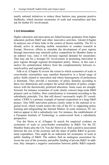marily national initiatives to reduce these barriers may generate positive feedbacks, which increase economies of scale and externalities and thus ask for further EU involvement.

#### **1.3.2 Innovation**

Higher education and innovation are linked because graduates from higher education perform R&D and other innovative activities. Gérard (Chapter 6) analyses one of these links in the context of factors mobility. The EU is already active in attracting mobile researchers to conduct research in Europe. However, efforts to stimulate the development of poor regions through innovation may intensify policy competition by Member States in an indirect way, since it will increase regional demand for researchers. That may ask for a stronger EU involvement in promoting innovation in poor regions through regional development policy. Hence, in this case a motive for centralization follows from the complementarity between research policy and regional policy.

Falk et al. (Chapter 8) review the extent to which economies of scale or cross-border externalities may manifest themselves in a broad range of policy fields related to innovation and where heterogeneity of preferences is dominant. They provide a taxonomy of policy domains according to these two dimensions and compare the actual allocation of policy competences with the theoretically preferred allocation. Some cases are straightforward, for instance economies of scale clearly concern large-scale R&D projects such as Galileo. Here centralization is warranted according to the subsidiarity principle. Yet, that still doesn't necessarily imply EU coordination: CERN is a primary example of mutual cooperation in a large R&D project. Also SME innovation policies clearly relate to the national or regional level, which would restrict the role of the EU to supporting policy learning and safeguarding the Internal Market. In some instances, EU initiatives appear to fail a subsidiarity test. For instance, the establishment of a European Institute of Technology is controversial from a subsidiarity perspective.

Van der Horst et al. (Chapter 9) search for empirical evidence on economies of scale or cross-border externalities in R&D. For the EU Member States plus the US, Van der Horst et al. find a positive association between the size of the economy and the share of public R&D in government expenditure. This might be an indication for economies of scale in public funding of R&D. The authors find an analogous association between the size of the economy and public funding of private R&D. In addition, they interpret a negative association between public R&D expendi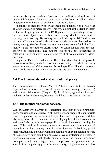tures and foreign ownership of patents as an indication of spillovers of public R&D abroad. That may point at cross-border externalities, which underscore centralization of public R&D at the EU level.

In contrast to these motives for European coordination, Van der Horst et al. draw attention to heterogeneity. This would point at the Member States as the most appropriate level for R&D policy. Heterogeneity pertains to the variety of objectives of public R&D among Member States and to learning from diversity. By consequence, subsidiarity in R&D indeed has to trade off economies of scale and cross-border externalities against diversity among Member States. On one innovation policy field, the Community Patent, the authors clearly argue for centralization from the perspective of subsidiarity. The authors suspect that the difficulties in establishing a Community Patent are the result of protectionism by Member States.

In general, Falk et al. and Van der Horst et al. show that it is impossible to assess subsidiarity at the level of innovation policy as a whole. It is necessary to make a careful assessment for each specific policy domain separately. As is the case for many other policies, the devil is in the detail.

# **1.4 The Internal Market and agricultural policy**

The contributions on Internal Market Policies concentrate on heavily regulated services such as network industries and banking (Chapter 10) and commercial services (Chapter 11). In addition, agriculture has been included under this heading, because it is linked to the Internal Market.

#### **1.4.1 The Internal Market for services**

Gual (Chapter 10) analyses the integration strategies in telecommunications, banking and electricity. In all these network sectors the appropriate level of regulation is a fundamental topic. The level of regulation and thus also integration should maintain a level playing field for all competitors and should also protect country-specific strategic interests to varying degrees. This could result in harmonization for some regulations and mutual recognition or host country rules in other domains. In banking, partial harmonization and mutual recognition dominates. In retail banking the use of host country rules could be improved to avoid protectionist devices. In telecommunications, Gual pleads for more use of the mutual recognition principle, which could trigger more competitive deregulation and the spread of best regulatory practices. In electricity, integration has been less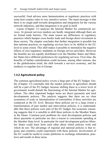successful. Gual advises more harmonization or regulatory practices with some host country rules in very sensitive sectors. The main message is that there is no single path towards deregulation and integration for the various network industries, and that integration is no goal in itself.

Lejour (Chapter 11) analyses the Internal Market for commercial services. At present services markets are hardly integrated although there are no formal trade barriers. The main reason are differences in regulatory practices which hamper cross border trade and foreign direct investment in these sectors. The chapter concludes that further integration is possible but that national practices on regulating services have to be shifted to the EU level to some extent. This shift makes it possible to internalize the negative effects of own regulatory standards on foreign service providers. However the benefits are not equally distributed over the Member States and Member States have different preferences for regulating services. Over time, the benefits of further centralization could increase, among other reasons, due to the globalization trend, the shift towards a services economy, and the tendency to regulate less in Europe.

#### **1.4.2 Agricultural policy**

The common agricultural policy covers a large part of the EU budget. Grethe (Chapter 12) concludes that the market policies in agriculture should still be a part of the EU budget, because shifting these to a lower level of government would disturb the functioning of the Internal Market for agriculture. The other important budget items are direct payments and rural developments policies. The analysis suggests that there are no clear economies of scale or internalization of externalities if these activities are conducted at the EU level. Because these policies are to a large extent a transformation of past market and intervention policies, it is understandable that these policies were part of the EU budget, but economic reasoning suggests that it is sensible to shift these policies to the Member States in the future. Common pool problems for rural development policies and direct payments in particular are also a reason to concentrate spending at the Member State level. In particular for rural development policies Member States could learn from each other about which policies work and which do not. The advantage of regional and national policies is that regions and countries could experiment with these policies. Involvement of the EU could be useful to create platforms to exchange information, practices and results in these areas.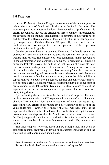# **1.5 Taxation**

 $\overline{\phantom{a}}$ 

Keen and De Mooij (Chapter 13) give an overview of the main arguments behind the criteria of functional subsidiarity in the field of taxation. The argument pointing at decentralization – heterogeneity of preferences – is clearly recognized. Indeed, the differences across countries in preferences for government expenditure<sup>7</sup> lead naturally to differences in revenue needs and therefore to different choices in taxation. This link is further exploited by Pouget and Stéclebout-Orseau (Chapter 16) who look at the implications of tax competition in the presence of heterogeneous preferences for public goods.

On the pro-centralization arguments Keen and De Mooij review the presence of fiscal externalities and its possible forms as well as its likely welfare implications. The existence of scale economies, mainly recognized in the administration and compliance domains, is presented as playing a rather modest role, leaving the bulk of the justification of a possible need for coordination to the presence of externalities. Among the various forms of externalities the one arising from "base snatching" and the consequent tax competition leading to lower rates is seen as deserving particular attention in the context of capital income taxation, due to the high mobility of capital relative to labour. For this reason, the pros and cons of tax competition become a crucial element when discussing the merits of some form of centralization in capital taxation. Keen and De Mooij discuss some of the arguments in favour of tax competition, in particular due to its role as a disciplining device.

By confronting the lessons from the theoretical and empirical literature on fiscal federalism with the EU experience in the area of tax policy coordination, Keen and De Mooij give an appraisal of what they see as successes in the EU efforts to coordinate tax policy, namely in the area of the value added tax. However, they suggest that this may have come at the expense of sufficient effort to address the coordination of capital income taxation in earlier stages of the EU. As a lesson to future unions, Keen and De Mooij suggest that capital tax coordination is better dealt with in early stages when membership is more homogeneous and lobby interests are weaker.

The three chapters following Keen and De Mooij's look into detail at corporate taxation, arguments in favour or against tax coordination and the specificities such coordination should take.

<sup>7</sup> These differences in preferences for government expenditure items have been discussed for the fields of education and innovation in Chapters 5-9.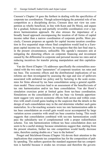Cnossen's Chapter 14 goes the furthest in dealing with the specificities of corporate tax coordination. Though acknowledging the potential role of tax competition as a disciplining device, Cnossen does not view tax competition as wholly beneficial, in line with Keen and De Mooij, and argues for a gradual, bottom-up and partially reversible coordination over a topdown harmonization approach. He also stresses the importance of a broadly based approach encompassing the taxation of all forms of capital income rather than a narrow coordination of corporate profits. More precisely, Cnossen proposes an agenda for capital income taxation coordination in five sequential steps whose final completion would lead to a European capital income tax. However, he recognizes that this last final step is, in the present circumstances, unfeasible. His agenda's measures aim at mitigating the distorting effects on corporate financing and investment caused by the differential in corporate and personal income tax rates and at reducing incentives for transfer pricing manipulation and thin capitalization.

Van der Horst (Chapter 15) addresses specifically the externalities associated with the two main "parameters" of corporate taxation: tax rates and tax base. The economic effects and the distributional implications of tax reforms are then investigated by assessing the sign and size of spillovers associated with unilateral tax policy and by factoring in the scale economies for firms allowed by tax base consolidation using a general equilibrium model. These exercises lead to an assessment of the benefits/costs of tax rate harmonization and/or tax base consolidation. Van der Horst's simulation exercises point at limited gains from tax-base coordination. Simulations on the consolidation of the tax base via formula apportionment suggest very uneven economic effects both across and within countries with small overall gains leading to the suspicion that the details in the design of such consolidation may in the end determine whether such gains materialize. In a far-reaching scenario were tax rate harmonization adds to tax base consolidation an overall gain would occur accompanied by large variation across countries with small tax base countries losing. This result suggests that consolidation combined with tax-rate harmonization could pass the subsidiarity test if complemented with a proper redistribution scheme. Tax rate harmonization without tax base consolidation does not seem to be a useful strategy because simulations suggest that, starting from the present situation, further tax rate competition would hardly decrease rates, therefore casting doubts on a "race to the bottom".

Pouget and Stéclebout-Orseau (Chapter 16) devote their attention to the implications that corporate tax competition has for the composition of public spending. The authors question the standard argument that tax competition is harmful because it erodes tax revenues and therefore the govern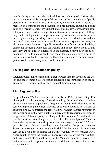ment's ability to produce the optimal level of public good. Instead, they turn to the more subtle concept of distortions in the composition of public expenditure. These distortions are caused by the existence of a second dimension of competition: the provision of a productivity-enhancing public good as a means to attract investment and consequently a broader tax base. Interpreting increased tax competition as the result of easier profit shifting, they find that tighter tax competition leads governments away from productivity-enhancing spending. Conversely, tax-rate coordination would not only lead most countries to increase their statutory corporate tax rates, but also foster a re-allocation of public expenditure in favour of productivityenhancing spending. Although the welfare and policy implications of this corollary are not directly addressed in the chapter, a move away from expenditure in fields such as health and social transfers may have a negative impact on households. However, as the authors recognize, further investigation would be necessary to assess this intuition.

# **1.6 Regional and transport policy**

Regional policy takes subsidiarity a step further than the levels of the Union and the Member States to issues concerning decentralization to the regional level. Transport policy has a regional dimension as well.

# **1.6.1 Regional policy**

Begg (Chapter 17) discusses the rationale for an EU regional policy. Regional policy is the mainstay of cohesion policy, the aim of which is to improve the competitive position of regions. Although redistribution, in the sense of improving the current incomes of poorer citizens, is not the aim of cohesion policy, in practice the richer Member States transfer resources to the poorer ones in this way, a rather clumsy way to redistribute income, as Begg states. Cohesion policy is, along with the Common Agricultural Policy, the most important budget item of the EU. For some (poorer) Member States the payments can add up to a few percentage points of GDP each year. Structural Funds' spending is not limited to the poorer Member States, but also goes to poor regions in rich Member States. For the latter case Begg doubts the rationale for EU intervention for two reasons. First, richer countries have the funds to finance regional policy themselves. Second, assignment of regional policy at the Member State level may give a better match with regional preferences and there are lower transaction costs involved.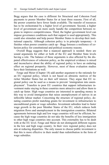Begg argues that the case is different for Structural and Cohesion Fund payments to poorer Member States for at least three reasons. First of all, the poorer countries have fewer funds available. The transfer of resources has to be orchestrated by a higher level of government. Second, a higher level of government can more easily handle the competition between regions to improve competitiveness. Third, the higher government level can impose governance conditions such that support is used appropriately. This could also stimulate and help poorer Member States to develop their institutional capacity. Although cohesion policy is in principle temporary - it finishes when poorer countries catch up - Begg foresees a resilience of cohesion policy for constitutional and political economy reasons.

Overall Begg suggests that a nuanced approach is needed: there are sound arguments for either or both of the EU and Member State levels having a role. The balance of these arguments is also affected by the disputed effectiveness of cohesion policy, as the empirical evidence is mixed and inconclusive about the ability of regional policy to have an enduring effect on regional prosperity. However, most of these evaluation studies have their limitations as well.

Fenge and Meier (Chapter 18) add another argument to the rationale for an EU regional policy, which is not based on altruistic motives of the richer Member States but on their self interest. They argue that EU regional policy can be used as a means to prevent 'immigration into unemployment'. Transfers to poor EU countries that support infrastructure investment make staying in these countries more attractive and allow them to catch up faster. High wage countries are interested in spending money in this way to avoid immigration that raises unemployment of natives in an inflexible labour market. Concerning the structure of regional policy, donating countries prefer matching grants for investment in infrastructure to unconditional grants or wage subsidies. Investment subsidies lead to faster wage growth in the poor Member States of the EU, which reduces both migration flows and unemployment in the immigration countries. Bilateral agreements between high and low wage countries will not be efficient, because the high wage countries do not take the benefits of less immigration to other high wage countries into account. This externality has to be dealt with at the EU level. Fenge and Meier do not distinguish different regions in the low and high wage country. In their view regional policy does not aim at reducing disparities. The only reason to choose public investment is that this is more effective in their model than redistribution in the form of wage subsidies.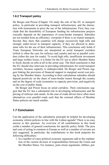#### **1.6.2 Transport policy**

De Borger and Proost (Chapter 19) study the role of the EU in transport policy, in particular in providing transport infrastructure, and the interaction with instruments to price the use of the infrastructure. First, they conclude that the desirability of European funding for infrastructure projects crucially depends on the importance of cross-border transport. Subsidies are not needed from an efficiency viewpoint if there is no transit transport. Second, they show that countries will charge excessively high tolls and strongly under-invest in transport capacity, if they are allowed to determine tolls for the use of their infrastructure. This conclusion only holds if Trans European Networks are interpreted as serial transport corridors (which is often the case for railways and canals) and not as parallel corridors (often the case for roads). To avoid high tolls, insufficient investment and large welfare losses, it is better for the EU not to allow Member States to freely decide on tolls at all in the serial case. The third conclusion is that the EU should also intervene in providing infrastructure for serial transport corridors, because capacity is underprovided. De Borger and Proost suggest linking the provision of financial support to marginal social cost pricing by the Member States. According to their calculations subsidies should depend positively on the share of trans-border transit through the country and on the degree of scale economies in capacity provision, and negatively on the cost of public funds.

De Borger and Proost focus on serial corridors. Their conclusions suggest that the EU has a substantial role in developing infrastructure and the pricing of railways and canals. In the case of roads drivers have often more alternatives over parallel roads such that the external effects of Member States policies are much smaller.

## **1.7 Conclusion**

Can the application of the subsidiarity principle be helpful for developing economic reform policies in line with the Lisbon agenda? There is no easy answer to this question. An overview of all contributions in this book yields a number of general conclusions for specific policy fields. The pros and cons of acting in common in Europe as well as a number of caveats are also suggested. In particular, the contributions in this book pinpoint the following difficulties:

1. In a number of cases political economy arguments add to the explanation of the current division of responsibilities between the Union and the Member States. For instance, juste retour arguments, lobbies, pol-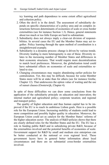icy learning and path dependence to some extent affect agricultural and cohesion policy.

- 2. Often the devil is in the detail. The assessment of subsidiarity depends on specific characteristics of a policy area and on complex interactions between determinants of economies of scale or cross border externalities (see for instance Section 1.3). Hence, general statements about too much or too little Europe are hard to substantiate.
- 3. Subsidiarity does not always imply a clear-cut division of responsibilities. In several cases the EU and the Member States may act together. Policy learning through the open method of coordination is a straightforward example.
- 4. Subsidiarity is a dynamic process: change is driven by various trends. Diversity leading to more heterogeneity is one of these. Diversity relates to the increasing number of Member States and differences in their economic structures. That would require more decentralization to match local preferences. Moreover, the globalization trend could have substantial effects on economies of scale and externalities related to size.
- 5. Changing circumstances may require abandoning earlier policies for centralization. Yet, this may be difficult, because for some Member States more will be at stake than for others (see for instance Grethe, Chapter 12). That underscores the option value of waiting and the use of sunset clauses (Oosterwijk, Chapter 4).

In spite of these difficulties we can draw some conclusions from the application of the subsidiarity principle on education and innovation; the internal market and agricultural policy; corporate taxation; and regional and transport policy.

The quality of higher education and thus human capital has to be improved if the EU is to reach its ambitious Lisbon goals. Here is a possible role for the European Union. Increasing mobility of students could lead to more competition and possibly higher quality in education. Moreover, the European Union could act as catalyst for the Member States' reforms of the higher education sector. The analysis of R&D policies shows that there are clearly defined roles for the Member States and the EU. The EU has a role in funding public R&D and in subsidizing private R&D, because of the externalities involved and the potential benefits of economies of scale. Government support for R&D by small and medium size enterprises can be better conducted at the national or even regional level. These government layers have in general better information about local circumstances and there are no substantial cross-border externalities involved.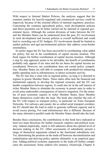With respect to Internal Market Policies, the analyses suggest that the common market for heavily-regulated and commercial services could be improved, because of the external effects of national regulatory practices. Concerning the common agricultural policy, rural development policies and direct payments can be better carried out by national or regional government layers. Although the current divisions of tasks between the EU and the Member States can be understood from the past, EU involvement in rural development and income policies is overall inefficient and could lead to crowding out of EU budgets. EU involvement should be limited to market policies and agri-environmental policies that address cross-border externalities.

In earlier stages the EU has been successful in coordinating value added tax policy, but not in the coordination of capital income taxation. This book argues for further coordination of capital income taxation. Although a step by step approach seems to be advisable, the benefit of coordination probably only appears if tax rates and the tax bases for capital income are coordinated. However, tax coordination does not curtail policy competition. Member States are still able to compete with productivity-enhancing public spending such as infrastructure, to attract economic activity.

The EU has also a clear role in regional policy, as long it is directed to regions in poorer Member States. These states often lack the financial and institutional capacity to develop the regional economy and the EU can handle competition between regions. It could also be in the self interest of richer Member States to stimulate the economy in poorer ones in order to avoid some undesirable consequences of massive migration. For the stimulus of poor economic regions in richer Member States, these Member States themselves could take the lead. The book also clarifies the role of the EU with respect to transport policy, in particular on Trans European Networks. For railways and canals, the so called serial transport corridors, the EU should take the lead in order to generate sufficient capacity and to avoid excess pricing. For road infrastructure this is different. Because of the many alternative parallel roads the Member States should take the lead.

Besides these conclusions, the contributions in this book have indicated at least two main directions for further research: empirics and political economy. Indeed empirically, much is still unknown about the optimal level of decision making in the EU. Often assessments of subsidiarity present a range of theoretical arguments related to the functional subsidiarity test. Yet, determining the position on the trade-off between decentralization and centralization and deriving policy options ultimately is an empirical question. Adding political economy arguments to the trade-off further complicates the assessment. Some authors (for instance, Oosterwijk, Chapter 4;